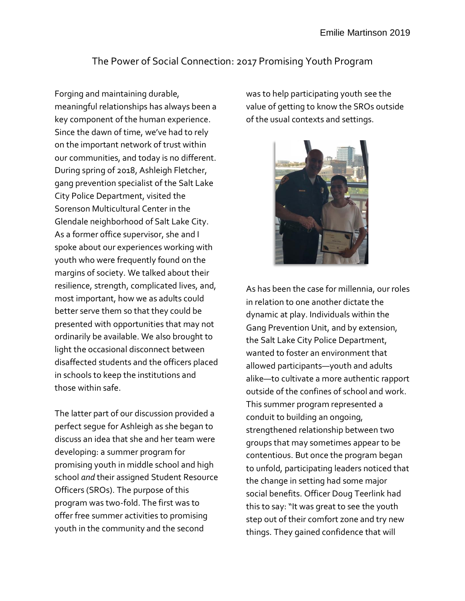## The Power of Social Connection: 2017 Promising Youth Program

Forging and maintaining durable, meaningful relationships has always been a key component of the human experience. Since the dawn of time, we've had to rely on the important network of trust within our communities, and today is no different. During spring of 2018, Ashleigh Fletcher, gang prevention specialist of the Salt Lake City Police Department, visited the Sorenson Multicultural Center in the Glendale neighborhood of Salt Lake City. As a former office supervisor, she and I spoke about our experiences working with youth who were frequently found on the margins of society. We talked about their resilience, strength, complicated lives, and, most important, how we as adults could better serve them so that they could be presented with opportunities that may not ordinarily be available. We also brought to light the occasional disconnect between disaffected students and the officers placed in schools to keep the institutions and those within safe.

The latter part of our discussion provided a perfect segue for Ashleigh as she began to discuss an idea that she and her team were developing: a summer program for promising youth in middle school and high school *and* their assigned Student Resource Officers (SROs). The purpose of this program was two-fold. The first was to offer free summer activities to promising youth in the community and the second

was to help participating youth see the value of getting to know the SROs outside of the usual contexts and settings.



As has been the case for millennia, our roles in relation to one another dictate the dynamic at play. Individuals within the Gang Prevention Unit, and by extension, the Salt Lake City Police Department, wanted to foster an environment that allowed participants—youth and adults alike—to cultivate a more authentic rapport outside of the confines of school and work. This summer program represented a conduit to building an ongoing, strengthened relationship between two groups that may sometimes appear to be contentious. But once the program began to unfold, participating leaders noticed that the change in setting had some major social benefits. Officer Doug Teerlink had this to say: "It was great to see the youth step out of their comfort zone and try new things. They gained confidence that will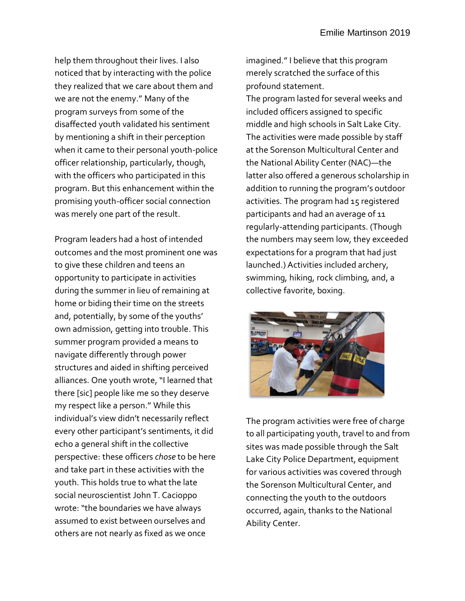help them throughout their lives. I also noticed that by interacting with the police they realized that we care about them and we are not the enemy." Many of the program surveys from some of the disaffected youth validated his sentiment by mentioning a shift in their perception when it came to their personal youth-police officer relationship, particularly, though, with the officers who participated in this program. But this enhancement within the promising youth-officer social connection was merely one part of the result.

Program leaders had a host of intended outcomes and the most prominent one was to give these children and teens an opportunity to participate in activities during the summer in lieu of remaining at home or biding their time on the streets and, potentially, by some of the youths' own admission, getting into trouble. This summer program provided a means to navigate differently through power structures and aided in shifting perceived alliances. One youth wrote, "I learned that there [sic] people like me so they deserve my respect like a person." While this individual's view didn't necessarily reflect every other participant's sentiments, it did echo a general shift in the collective perspective: these officers *chose* to be here and take part in these activities with the youth. This holds true to what the late social neuroscientist John T. Cacioppo wrote: "the boundaries we have always assumed to exist between ourselves and others are not nearly as fixed as we once

imagined." I believe that this program merely scratched the surface of this profound statement. The program lasted for several weeks and included officers assigned to specific middle and high schools in Salt Lake City. The activities were made possible by staff at the Sorenson Multicultural Center and the National Ability Center (NAC)—the latter also offered a generous scholarship in addition to running the program's outdoor activities. The program had 15 registered participants and had an average of 11 regularly-attending participants. (Though the numbers may seem low, they exceeded expectations for a program that had just launched.) Activities included archery, swimming, hiking, rock climbing, and, a collective favorite, boxing.



The program activities were free of charge to all participating youth, travel to and from sites was made possible through the Salt Lake City Police Department, equipment for various activities was covered through the Sorenson Multicultural Center, and connecting the youth to the outdoors occurred, again, thanks to the National Ability Center.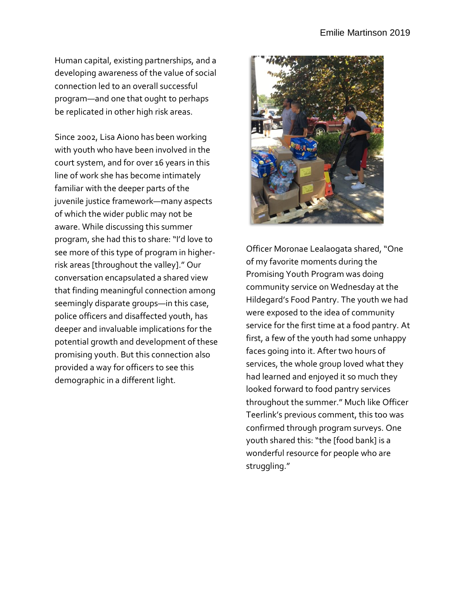Human capital, existing partnerships, and a developing awareness of the value of social connection led to an overall successful program—and one that ought to perhaps be replicated in other high risk areas.

Since 2002, Lisa Aiono has been working with youth who have been involved in the court system, and for over 16 years in this line of work she has become intimately familiar with the deeper parts of the juvenile justice framework—many aspects of which the wider public may not be aware. While discussing this summer program, she had this to share: "I'd love to see more of this type of program in higherrisk areas [throughout the valley]." Our conversation encapsulated a shared view that finding meaningful connection among seemingly disparate groups—in this case, police officers and disaffected youth, has deeper and invaluable implications for the potential growth and development of these promising youth. But this connection also provided a way for officers to see this demographic in a different light.



Officer Moronae Lealaogata shared, "One of my favorite moments during the Promising Youth Program was doing community service on Wednesday at the Hildegard's Food Pantry. The youth we had were exposed to the idea of community service for the first time at a food pantry. At first, a few of the youth had some unhappy faces going into it. After two hours of services, the whole group loved what they had learned and enjoyed it so much they looked forward to food pantry services throughout the summer." Much like Officer Teerlink's previous comment, this too was confirmed through program surveys. One youth shared this: "the [food bank] is a wonderful resource for people who are struggling."